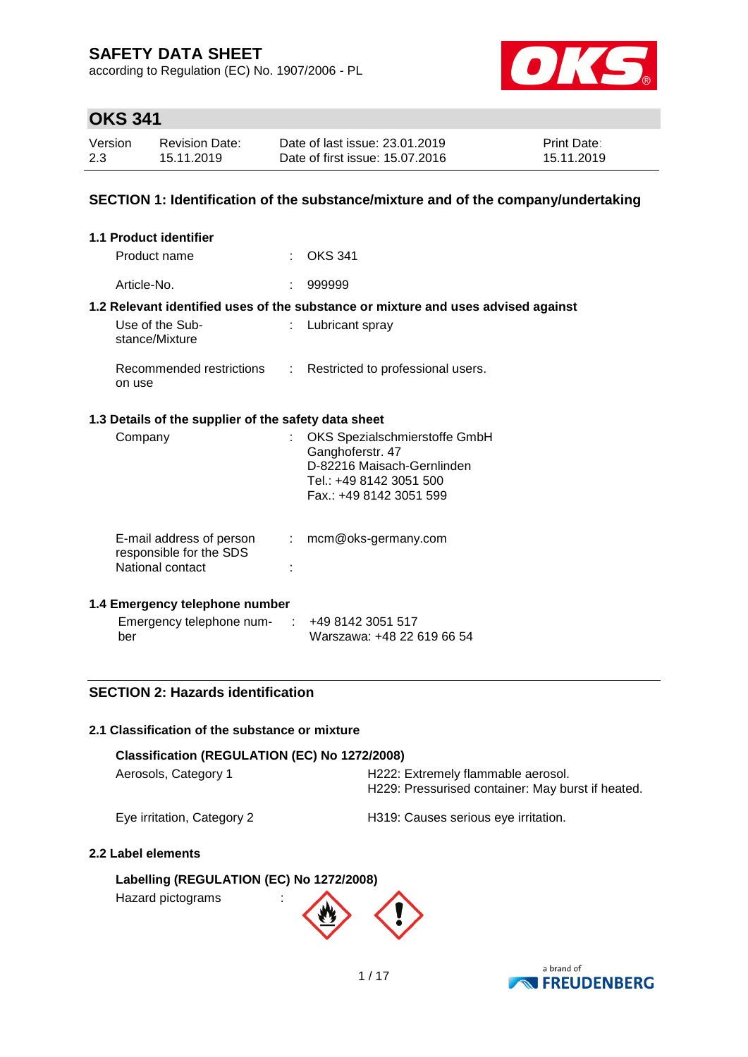according to Regulation (EC) No. 1907/2006 - PL



## **OKS 341**

| Version | Revision Date: | Date of last issue: 23.01.2019  | <b>Print Date:</b> |
|---------|----------------|---------------------------------|--------------------|
| 2.3     | 15.11.2019     | Date of first issue: 15.07.2016 | 15.11.2019         |

### **SECTION 1: Identification of the substance/mixture and of the company/undertaking**

| 1.1 Product identifier                               |                                                                                   |
|------------------------------------------------------|-----------------------------------------------------------------------------------|
| Product name                                         | $\therefore$ OKS 341                                                              |
| Article-No.                                          | 999999                                                                            |
|                                                      | 1.2 Relevant identified uses of the substance or mixture and uses advised against |
| Use of the Sub-<br>stance/Mixture                    | : Lubricant spray                                                                 |
| Recommended restrictions<br>on use                   | : Restricted to professional users.                                               |
| 1.3 Details of the supplier of the safety data sheet |                                                                                   |
| Company                                              | : OKS Spezialschmierstoffe GmbH<br>Ganghoferstr 47                                |

| $v_{\rm{query}}$                                                        | $\sim$ 0.10 Opozialogi in illorotonio Onnor<br>Ganghoferstr. 47<br>D-82216 Maisach-Gernlinden<br>Tel.: +49 8142 3051 500<br>Fax.: +49 8142 3051 599 |
|-------------------------------------------------------------------------|-----------------------------------------------------------------------------------------------------------------------------------------------------|
| E-mail address of person<br>responsible for the SDS<br>National contact | mcm@oks-germany.com                                                                                                                                 |

### **1.4 Emergency telephone number**

| Emergency telephone num- | +49 8142 3051 517          |
|--------------------------|----------------------------|
| ber                      | Warszawa: +48 22 619 66 54 |

### **SECTION 2: Hazards identification**

### **2.1 Classification of the substance or mixture**

| Classification (REGULATION (EC) No 1272/2008) |                                                                                         |  |  |  |  |  |
|-----------------------------------------------|-----------------------------------------------------------------------------------------|--|--|--|--|--|
| Aerosols, Category 1                          | H222: Extremely flammable aerosol.<br>H229: Pressurised container: May burst if heated. |  |  |  |  |  |
| Eye irritation, Category 2                    | H319: Causes serious eye irritation.                                                    |  |  |  |  |  |

### **2.2 Label elements**

## **Labelling (REGULATION (EC) No 1272/2008)**

Hazard pictograms :



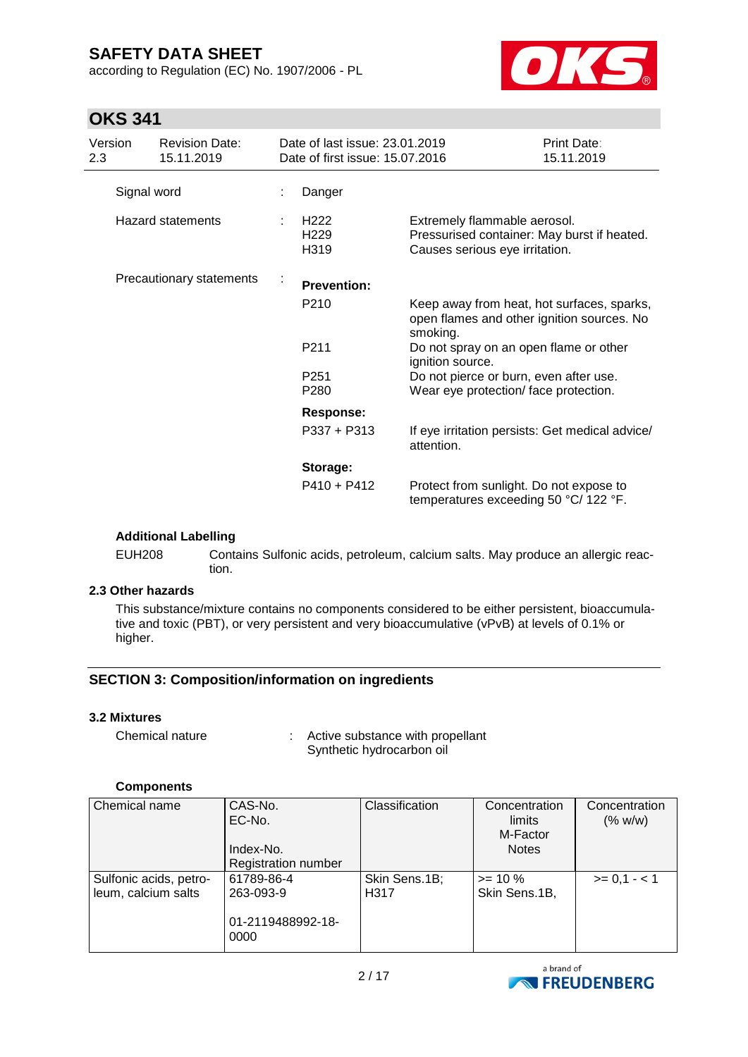according to Regulation (EC) No. 1907/2006 - PL



## **OKS 341**

| Version<br>2.3           | <b>Revision Date:</b><br>15.11.2019 |    | Date of last issue: 23.01.2019<br>Date of first issue: 15.07.2016 |                                                                                                               | Print Date:<br>15.11.2019 |
|--------------------------|-------------------------------------|----|-------------------------------------------------------------------|---------------------------------------------------------------------------------------------------------------|---------------------------|
|                          | Signal word                         |    | Danger                                                            |                                                                                                               |                           |
| <b>Hazard statements</b> |                                     |    | H <sub>222</sub><br>H <sub>229</sub><br>H319                      | Extremely flammable aerosol.<br>Pressurised container: May burst if heated.<br>Causes serious eye irritation. |                           |
| Precautionary statements |                                     | k, | <b>Prevention:</b>                                                |                                                                                                               |                           |
|                          |                                     |    | P <sub>210</sub>                                                  | Keep away from heat, hot surfaces, sparks,<br>open flames and other ignition sources. No<br>smoking.          |                           |
|                          |                                     |    | P211                                                              | Do not spray on an open flame or other<br>ignition source.                                                    |                           |
|                          |                                     |    | P <sub>251</sub>                                                  | Do not pierce or burn, even after use.                                                                        |                           |
|                          |                                     |    | P <sub>280</sub>                                                  | Wear eye protection/face protection.                                                                          |                           |
|                          |                                     |    | <b>Response:</b>                                                  |                                                                                                               |                           |
|                          |                                     |    | $P337 + P313$                                                     | If eye irritation persists: Get medical advice/<br>attention.                                                 |                           |
|                          |                                     |    | Storage:                                                          |                                                                                                               |                           |
|                          |                                     |    | $P410 + P412$                                                     | Protect from sunlight. Do not expose to<br>temperatures exceeding 50 °C/ 122 °F.                              |                           |

### **Additional Labelling**

EUH208 Contains Sulfonic acids, petroleum, calcium salts. May produce an allergic reaction.

### **2.3 Other hazards**

This substance/mixture contains no components considered to be either persistent, bioaccumulative and toxic (PBT), or very persistent and very bioaccumulative (vPvB) at levels of 0.1% or higher.

### **SECTION 3: Composition/information on ingredients**

#### **3.2 Mixtures**

Chemical nature : Active substance with propellant Synthetic hydrocarbon oil

### **Components**

| Chemical name                                 | CAS-No.<br>EC-No.<br>Index-No.<br><b>Registration number</b> | Classification        | Concentration<br>limits<br>M-Factor<br><b>Notes</b> | Concentration<br>(% w/w) |
|-----------------------------------------------|--------------------------------------------------------------|-----------------------|-----------------------------------------------------|--------------------------|
| Sulfonic acids, petro-<br>leum, calcium salts | 61789-86-4<br>263-093-9                                      | Skin Sens.1B;<br>H317 | $>= 10 \%$<br>Skin Sens.1B,                         | $>= 0.1 - 1.1$           |
|                                               | 01-2119488992-18-<br>0000                                    |                       |                                                     |                          |

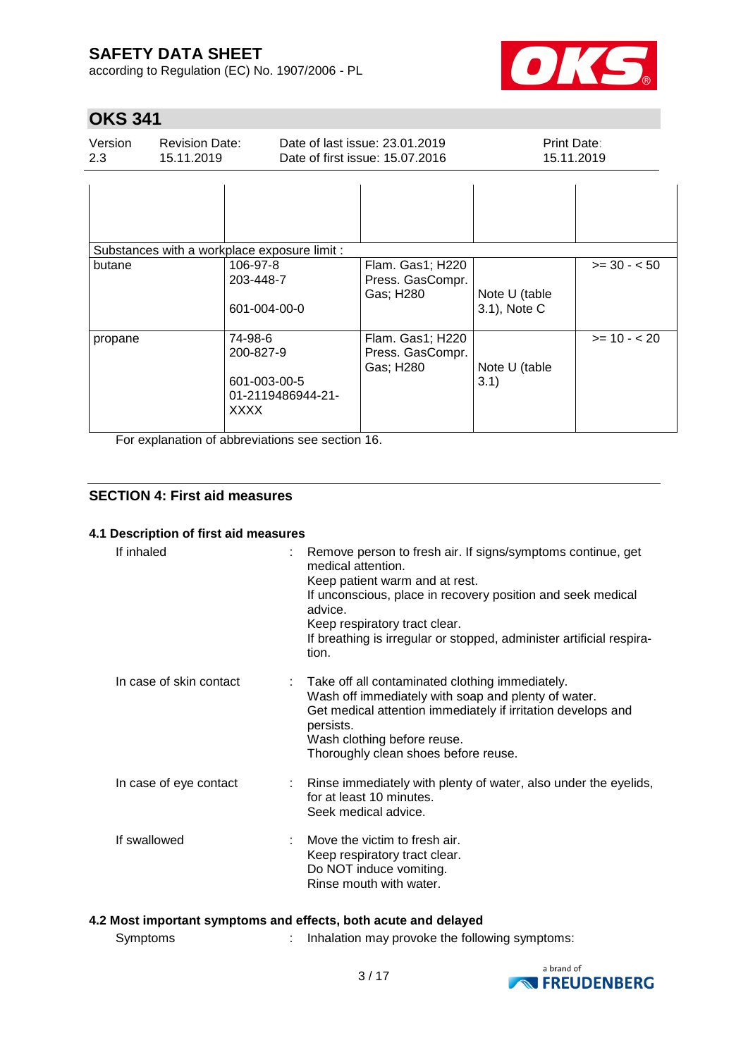according to Regulation (EC) No. 1907/2006 - PL



## **OKS 341**

| Version<br>2.3 | <b>Revision Date:</b><br>15.11.2019 |                                                                          | Date of last issue: 23.01.2019<br>Date of first issue: 15.07.2016 | Print Date:                   | 15.11.2019   |
|----------------|-------------------------------------|--------------------------------------------------------------------------|-------------------------------------------------------------------|-------------------------------|--------------|
|                |                                     |                                                                          |                                                                   |                               |              |
|                |                                     | Substances with a workplace exposure limit :                             |                                                                   |                               |              |
| butane         |                                     | 106-97-8<br>203-448-7<br>601-004-00-0                                    | Flam. Gas1; H220<br>Press. GasCompr.<br>Gas; H280                 | Note U (table<br>3.1), Note C | $>= 30 - 50$ |
| propane        |                                     | 74-98-6<br>200-827-9<br>601-003-00-5<br>01-2119486944-21-<br><b>XXXX</b> | Flam. Gas1; H220<br>Press. GasCompr.<br>Gas; H280                 | Note U (table<br>3.1)         | $>= 10 - 20$ |

For explanation of abbreviations see section 16.

### **SECTION 4: First aid measures**

### **4.1 Description of first aid measures**

| If inhaled              | Remove person to fresh air. If signs/symptoms continue, get<br>medical attention.<br>Keep patient warm and at rest.<br>If unconscious, place in recovery position and seek medical<br>advice.<br>Keep respiratory tract clear.<br>If breathing is irregular or stopped, administer artificial respira-<br>tion. |
|-------------------------|-----------------------------------------------------------------------------------------------------------------------------------------------------------------------------------------------------------------------------------------------------------------------------------------------------------------|
| In case of skin contact | : Take off all contaminated clothing immediately.<br>Wash off immediately with soap and plenty of water.<br>Get medical attention immediately if irritation develops and<br>persists.<br>Wash clothing before reuse.<br>Thoroughly clean shoes before reuse.                                                    |
| In case of eye contact  | : Rinse immediately with plenty of water, also under the eyelids,<br>for at least 10 minutes.<br>Seek medical advice.                                                                                                                                                                                           |
| If swallowed            | $\therefore$ Move the victim to fresh air.<br>Keep respiratory tract clear.<br>Do NOT induce vomiting.<br>Rinse mouth with water.                                                                                                                                                                               |

### **4.2 Most important symptoms and effects, both acute and delayed**

Symptoms : Inhalation may provoke the following symptoms:

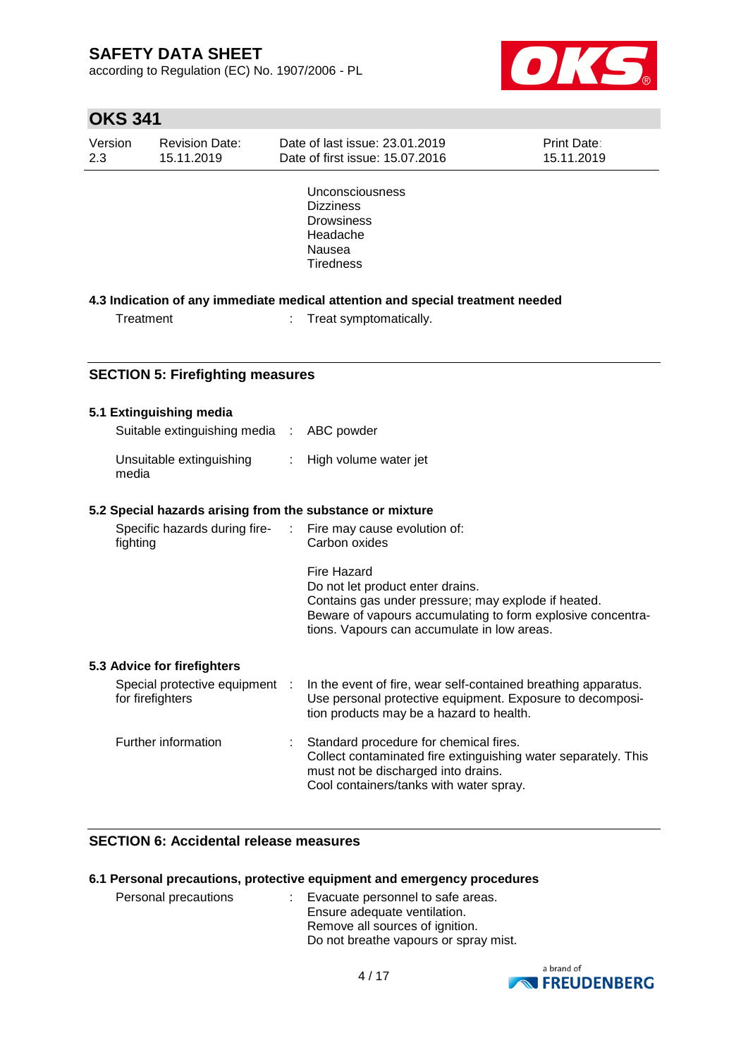according to Regulation (EC) No. 1907/2006 - PL



# **OKS 341**

| Version<br>2.3 |           | <b>Revision Date:</b><br>15.11.2019              | Date of last issue: 23.01.2019<br>Date of first issue: 15.07.2016                                                                                                                                                           | Print Date:<br>15.11.2019 |
|----------------|-----------|--------------------------------------------------|-----------------------------------------------------------------------------------------------------------------------------------------------------------------------------------------------------------------------------|---------------------------|
|                |           |                                                  | Unconsciousness<br><b>Dizziness</b><br><b>Drowsiness</b><br>Headache<br>Nausea<br><b>Tiredness</b>                                                                                                                          |                           |
|                |           |                                                  | 4.3 Indication of any immediate medical attention and special treatment needed                                                                                                                                              |                           |
|                | Treatment |                                                  | Treat symptomatically.                                                                                                                                                                                                      |                           |
|                |           |                                                  |                                                                                                                                                                                                                             |                           |
|                |           | <b>SECTION 5: Firefighting measures</b>          |                                                                                                                                                                                                                             |                           |
|                |           |                                                  |                                                                                                                                                                                                                             |                           |
|                |           | 5.1 Extinguishing media                          |                                                                                                                                                                                                                             |                           |
|                |           | Suitable extinguishing media :                   | ABC powder                                                                                                                                                                                                                  |                           |
|                | media     | Unsuitable extinguishing                         | High volume water jet                                                                                                                                                                                                       |                           |
|                |           |                                                  | 5.2 Special hazards arising from the substance or mixture                                                                                                                                                                   |                           |
|                | fighting  | Specific hazards during fire-                    | Fire may cause evolution of:<br>Carbon oxides                                                                                                                                                                               |                           |
|                |           |                                                  | <b>Fire Hazard</b><br>Do not let product enter drains.<br>Contains gas under pressure; may explode if heated.<br>Beware of vapours accumulating to form explosive concentra-<br>tions. Vapours can accumulate in low areas. |                           |
|                |           | 5.3 Advice for firefighters                      |                                                                                                                                                                                                                             |                           |
|                |           | Special protective equipment<br>for firefighters | In the event of fire, wear self-contained breathing apparatus.<br>Use personal protective equipment. Exposure to decomposi-<br>tion products may be a hazard to health.                                                     |                           |
|                |           | Further information                              | Standard procedure for chemical fires.<br>Collect contaminated fire extinguishing water separately. This<br>must not be discharged into drains.<br>Cool containers/tanks with water spray.                                  |                           |

### **SECTION 6: Accidental release measures**

#### **6.1 Personal precautions, protective equipment and emergency procedures**

| Personal precautions | : Evacuate personnel to safe areas.   |
|----------------------|---------------------------------------|
|                      | Ensure adequate ventilation.          |
|                      | Remove all sources of ignition.       |
|                      | Do not breathe vapours or spray mist. |

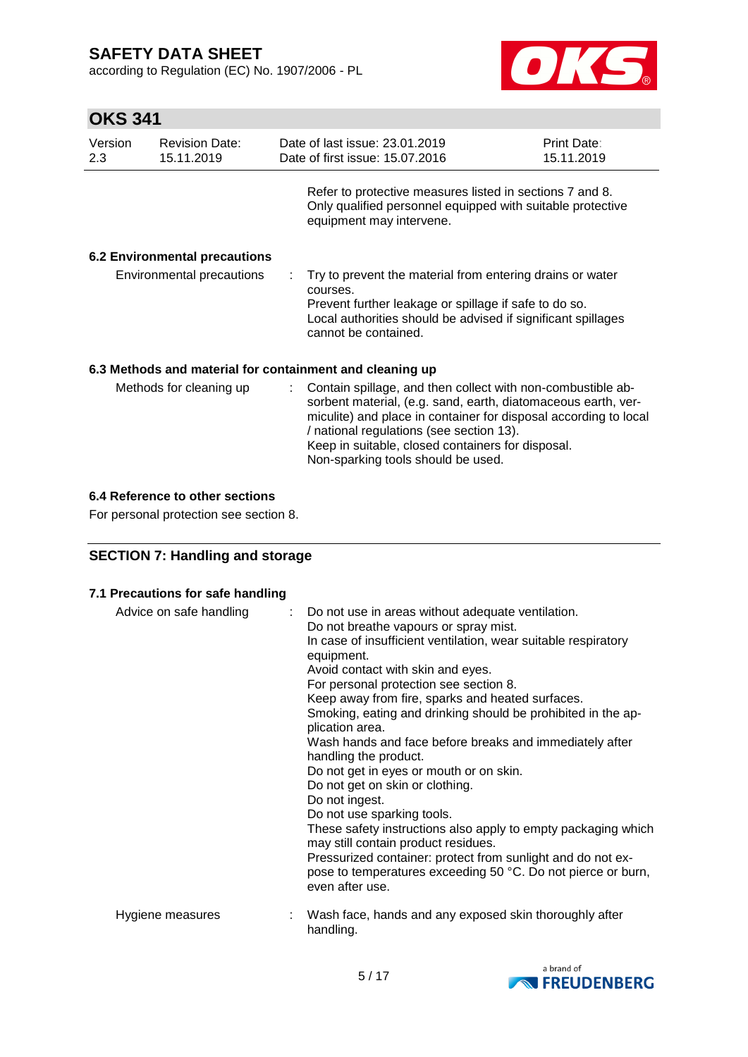according to Regulation (EC) No. 1907/2006 - PL



# **OKS 341**

| Version<br>2.3            | <b>Revision Date:</b><br>15.11.2019  |                                                                                                                                                                                                                        | Date of last issue: 23.01.2019<br>Date of first issue: 15.07.2016                                                                                                                                                                                                                                                                         | <b>Print Date:</b><br>15.11.2019 |
|---------------------------|--------------------------------------|------------------------------------------------------------------------------------------------------------------------------------------------------------------------------------------------------------------------|-------------------------------------------------------------------------------------------------------------------------------------------------------------------------------------------------------------------------------------------------------------------------------------------------------------------------------------------|----------------------------------|
|                           |                                      |                                                                                                                                                                                                                        | Refer to protective measures listed in sections 7 and 8.<br>Only qualified personnel equipped with suitable protective<br>equipment may intervene.                                                                                                                                                                                        |                                  |
|                           | <b>6.2 Environmental precautions</b> |                                                                                                                                                                                                                        |                                                                                                                                                                                                                                                                                                                                           |                                  |
| Environmental precautions |                                      | Try to prevent the material from entering drains or water<br>courses.<br>Prevent further leakage or spillage if safe to do so.<br>Local authorities should be advised if significant spillages<br>cannot be contained. |                                                                                                                                                                                                                                                                                                                                           |                                  |
|                           |                                      |                                                                                                                                                                                                                        | 6.3 Methods and material for containment and cleaning up                                                                                                                                                                                                                                                                                  |                                  |
|                           | Methods for cleaning up              |                                                                                                                                                                                                                        | : Contain spillage, and then collect with non-combustible ab-<br>sorbent material, (e.g. sand, earth, diatomaceous earth, ver-<br>miculite) and place in container for disposal according to local<br>/ national regulations (see section 13).<br>Keep in suitable, closed containers for disposal.<br>Non-sparking tools should be used. |                                  |

### **6.4 Reference to other sections**

For personal protection see section 8.

## **SECTION 7: Handling and storage**

| 7.1 Precautions for safe handling |  |
|-----------------------------------|--|
|-----------------------------------|--|

| Advice on safe handling | : Do not use in areas without adequate ventilation.<br>Do not breathe vapours or spray mist.<br>In case of insufficient ventilation, wear suitable respiratory<br>equipment.<br>Avoid contact with skin and eyes.<br>For personal protection see section 8.<br>Keep away from fire, sparks and heated surfaces.<br>Smoking, eating and drinking should be prohibited in the ap-<br>plication area.<br>Wash hands and face before breaks and immediately after<br>handling the product.<br>Do not get in eyes or mouth or on skin.<br>Do not get on skin or clothing.<br>Do not ingest.<br>Do not use sparking tools.<br>These safety instructions also apply to empty packaging which<br>may still contain product residues.<br>Pressurized container: protect from sunlight and do not ex-<br>pose to temperatures exceeding 50 °C. Do not pierce or burn,<br>even after use. |
|-------------------------|--------------------------------------------------------------------------------------------------------------------------------------------------------------------------------------------------------------------------------------------------------------------------------------------------------------------------------------------------------------------------------------------------------------------------------------------------------------------------------------------------------------------------------------------------------------------------------------------------------------------------------------------------------------------------------------------------------------------------------------------------------------------------------------------------------------------------------------------------------------------------------|
| Hygiene measures        | Wash face, hands and any exposed skin thoroughly after<br>handling.                                                                                                                                                                                                                                                                                                                                                                                                                                                                                                                                                                                                                                                                                                                                                                                                            |

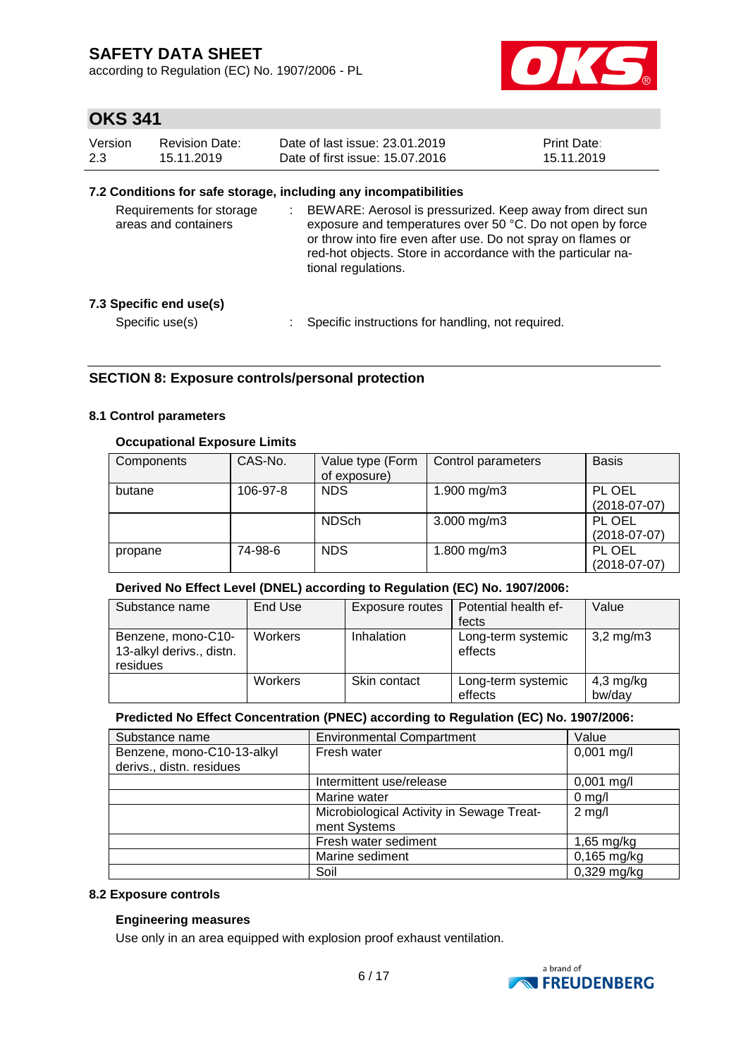according to Regulation (EC) No. 1907/2006 - PL



## **OKS 341**

| Version | Revision Date: | Date of last issue: 23.01.2019  | <b>Print Date:</b> |
|---------|----------------|---------------------------------|--------------------|
| 2.3     | 15.11.2019     | Date of first issue: 15.07.2016 | 15.11.2019         |

#### **7.2 Conditions for safe storage, including any incompatibilities**

| Requirements for storage<br>areas and containers | BEWARE: Aerosol is pressurized. Keep away from direct sun<br>exposure and temperatures over 50 °C. Do not open by force<br>or throw into fire even after use. Do not spray on flames or<br>red-hot objects. Store in accordance with the particular na-<br>tional regulations. |  |
|--------------------------------------------------|--------------------------------------------------------------------------------------------------------------------------------------------------------------------------------------------------------------------------------------------------------------------------------|--|
| 7.3 Specific end use(s)                          |                                                                                                                                                                                                                                                                                |  |
| Specific use(s)                                  | Specific instructions for handling, not required.                                                                                                                                                                                                                              |  |

### **SECTION 8: Exposure controls/personal protection**

#### **8.1 Control parameters**

#### **Occupational Exposure Limits**

| Components | CAS-No.  | Value type (Form<br>of exposure) | Control parameters | <b>Basis</b>             |
|------------|----------|----------------------------------|--------------------|--------------------------|
| butane     | 106-97-8 | <b>NDS</b>                       | 1.900 mg/m3        | PL OEL<br>$(2018-07-07)$ |
|            |          | <b>NDSch</b>                     | $3.000$ mg/m $3$   | PL OEL<br>$(2018-07-07)$ |
| propane    | 74-98-6  | <b>NDS</b>                       | 1.800 mg/m3        | PL OEL<br>$(2018-07-07)$ |

#### **Derived No Effect Level (DNEL) according to Regulation (EC) No. 1907/2006:**

| Substance name                                             | End Use        | Exposure routes   | Potential health ef-<br>fects | Value                 |
|------------------------------------------------------------|----------------|-------------------|-------------------------------|-----------------------|
| Benzene, mono-C10-<br>13-alkyl derivs., distn.<br>residues | <b>Workers</b> | <b>Inhalation</b> | Long-term systemic<br>effects | $3,2 \,\mathrm{mg/m}$ |
|                                                            | Workers        | Skin contact      | Long-term systemic<br>effects | 4,3 mg/kg<br>bw/day   |

#### **Predicted No Effect Concentration (PNEC) according to Regulation (EC) No. 1907/2006:**

| Substance name             | <b>Environmental Compartment</b>          | Value            |
|----------------------------|-------------------------------------------|------------------|
| Benzene, mono-C10-13-alkyl | Fresh water                               | $0,001$ mg/l     |
| derivs., distn. residues   |                                           |                  |
|                            | Intermittent use/release                  | $0,001$ mg/l     |
|                            | Marine water                              | $0 \text{ mg/l}$ |
|                            | Microbiological Activity in Sewage Treat- | $2$ mg/l         |
|                            | ment Systems                              |                  |
|                            | Fresh water sediment                      | 1,65 mg/kg       |
|                            | Marine sediment                           | $0,165$ mg/kg    |
|                            | Soil                                      | $0,329$ mg/kg    |

#### **8.2 Exposure controls**

#### **Engineering measures**

Use only in an area equipped with explosion proof exhaust ventilation.

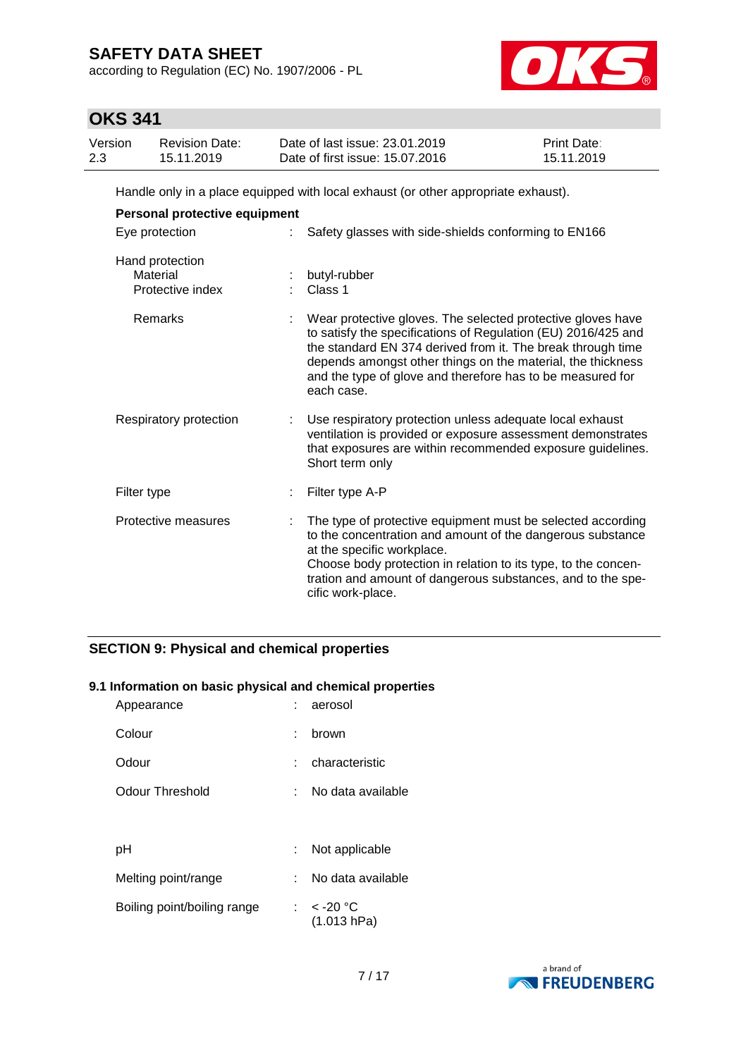according to Regulation (EC) No. 1907/2006 - PL



## **OKS 341**

| Version | <b>Revision Date:</b> | Date of last issue: 23.01.2019  | <b>Print Date:</b> |
|---------|-----------------------|---------------------------------|--------------------|
| 2.3     | 15.11.2019            | Date of first issue: 15.07.2016 | 15.11.2019         |

Handle only in a place equipped with local exhaust (or other appropriate exhaust).

| Personal protective equipment                   |  |                                                                                                                                                                                                                                                                                                                                        |  |  |  |
|-------------------------------------------------|--|----------------------------------------------------------------------------------------------------------------------------------------------------------------------------------------------------------------------------------------------------------------------------------------------------------------------------------------|--|--|--|
| Eye protection                                  |  | Safety glasses with side-shields conforming to EN166                                                                                                                                                                                                                                                                                   |  |  |  |
| Hand protection<br>Material<br>Protective index |  | butyl-rubber<br>Class 1                                                                                                                                                                                                                                                                                                                |  |  |  |
| Remarks                                         |  | Wear protective gloves. The selected protective gloves have<br>to satisfy the specifications of Regulation (EU) 2016/425 and<br>the standard EN 374 derived from it. The break through time<br>depends amongst other things on the material, the thickness<br>and the type of glove and therefore has to be measured for<br>each case. |  |  |  |
| Respiratory protection                          |  | Use respiratory protection unless adequate local exhaust<br>ventilation is provided or exposure assessment demonstrates<br>that exposures are within recommended exposure guidelines.<br>Short term only                                                                                                                               |  |  |  |
| Filter type                                     |  | Filter type A-P                                                                                                                                                                                                                                                                                                                        |  |  |  |
| Protective measures                             |  | The type of protective equipment must be selected according<br>to the concentration and amount of the dangerous substance<br>at the specific workplace.<br>Choose body protection in relation to its type, to the concen-<br>tration and amount of dangerous substances, and to the spe-<br>cific work-place.                          |  |  |  |

## **SECTION 9: Physical and chemical properties**

### **9.1 Information on basic physical and chemical properties**

| Appearance                  |    | aerosol                     |
|-----------------------------|----|-----------------------------|
| Colour                      |    | brown                       |
| Odour                       |    | characteristic              |
| Odour Threshold             | t. | No data available           |
|                             |    |                             |
| рH                          |    | Not applicable              |
| Melting point/range         |    | No data available           |
| Boiling point/boiling range |    | : $<$ -20 °C<br>(1.013 hPa) |

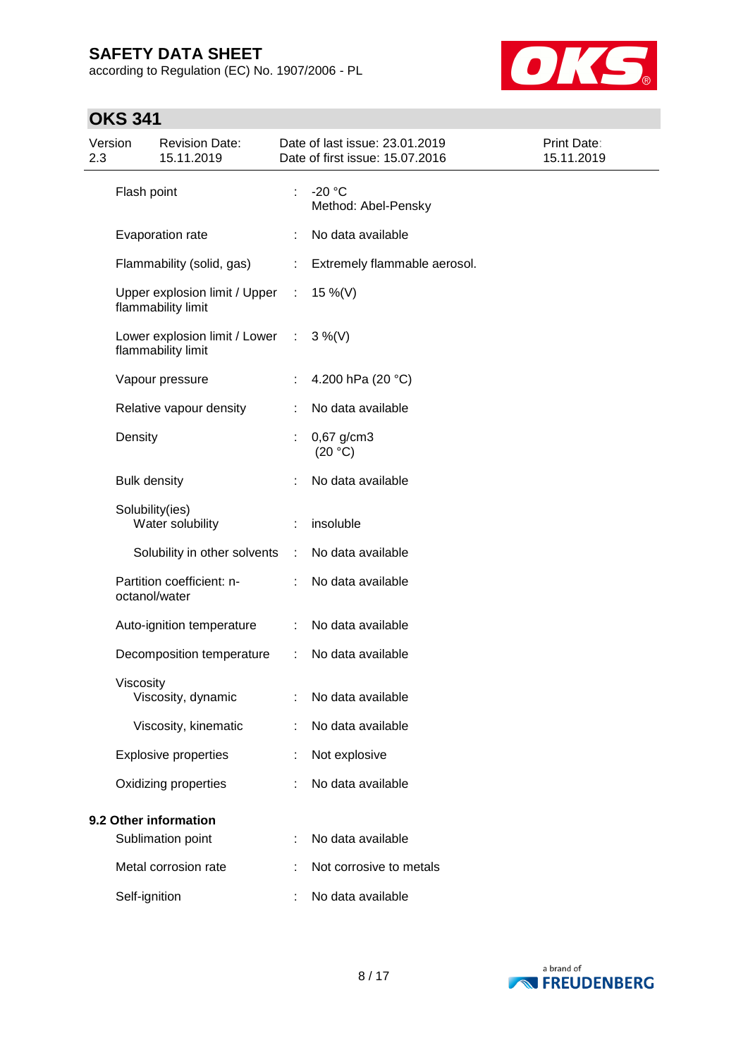according to Regulation (EC) No. 1907/2006 - PL



# **OKS 341**

| Version<br>2.3 |                     | <b>Revision Date:</b><br>15.11.2019                   |                             | Date of last issue: 23.01.2019<br>Date of first issue: 15.07.2016 | Print Date:<br>15.11.2019 |
|----------------|---------------------|-------------------------------------------------------|-----------------------------|-------------------------------------------------------------------|---------------------------|
|                | Flash point         |                                                       |                             | $-20 °C$<br>Method: Abel-Pensky                                   |                           |
|                |                     | Evaporation rate                                      |                             | No data available                                                 |                           |
|                |                     | Flammability (solid, gas)                             |                             | Extremely flammable aerosol.                                      |                           |
|                |                     | Upper explosion limit / Upper<br>flammability limit   | $\mathcal{L}_{\mathcal{A}}$ | 15 %(V)                                                           |                           |
|                |                     | Lower explosion limit / Lower :<br>flammability limit |                             | $3\%$ (V)                                                         |                           |
|                |                     | Vapour pressure                                       |                             | 4.200 hPa (20 °C)                                                 |                           |
|                |                     | Relative vapour density                               |                             | No data available                                                 |                           |
|                | Density             |                                                       |                             | 0,67 g/cm3<br>(20 °C)                                             |                           |
|                | <b>Bulk density</b> |                                                       |                             | No data available                                                 |                           |
|                | Solubility(ies)     | Water solubility                                      |                             | insoluble                                                         |                           |
|                |                     | Solubility in other solvents                          | ÷.                          | No data available                                                 |                           |
|                | octanol/water       | Partition coefficient: n-                             |                             | No data available                                                 |                           |
|                |                     | Auto-ignition temperature                             | ÷.                          | No data available                                                 |                           |
|                |                     | Decomposition temperature                             | ÷.                          | No data available                                                 |                           |
|                | Viscosity           | Viscosity, dynamic                                    |                             | No data available                                                 |                           |
|                |                     | Viscosity, kinematic                                  |                             | No data available                                                 |                           |
|                |                     | <b>Explosive properties</b>                           |                             | Not explosive                                                     |                           |
|                |                     | Oxidizing properties                                  |                             | No data available                                                 |                           |
|                |                     | 9.2 Other information                                 |                             |                                                                   |                           |
|                |                     | Sublimation point                                     |                             | No data available                                                 |                           |
|                |                     | Metal corrosion rate                                  |                             | Not corrosive to metals                                           |                           |
|                | Self-ignition       |                                                       |                             | No data available                                                 |                           |

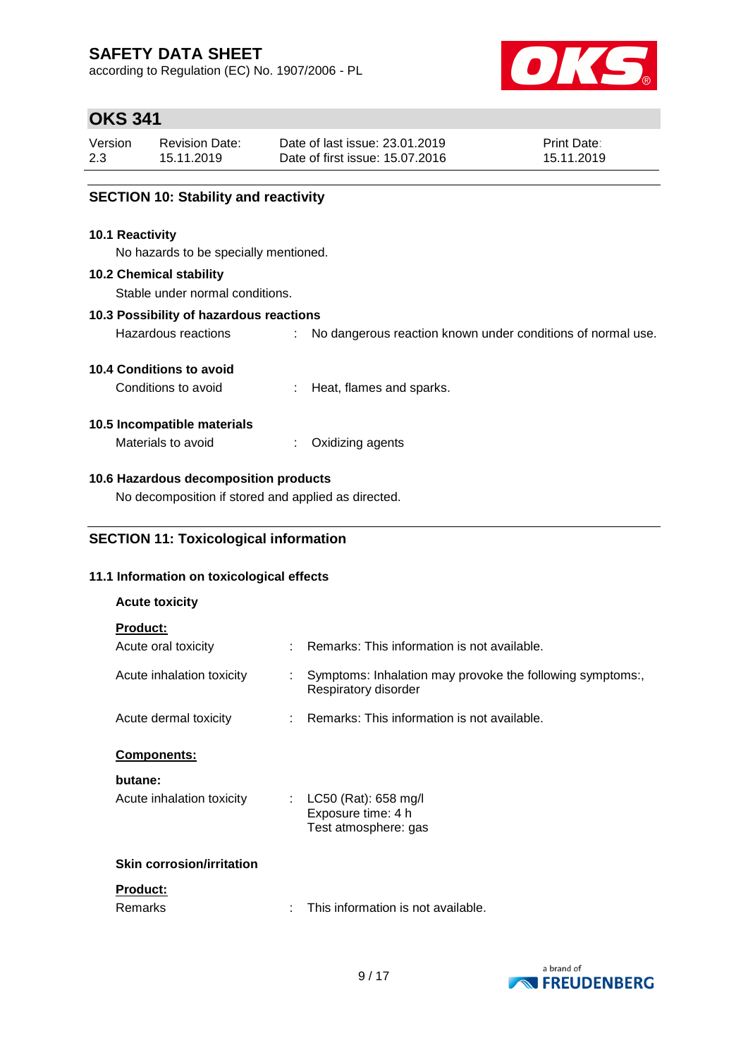according to Regulation (EC) No. 1907/2006 - PL



## **OKS 341**

| Version | Revision Date: | Date of last issue: 23.01.2019  | <b>Print Date:</b> |
|---------|----------------|---------------------------------|--------------------|
| 2.3     | 15.11.2019     | Date of first issue: 15.07.2016 | 15.11.2019         |

### **SECTION 10: Stability and reactivity**

#### **10.1 Reactivity**

No hazards to be specially mentioned.

#### **10.2 Chemical stability**

Stable under normal conditions.

#### **10.3 Possibility of hazardous reactions**

Hazardous reactions : No dangerous reaction known under conditions of normal use.

### **10.4 Conditions to avoid**

Conditions to avoid : Heat, flames and sparks.

### **10.5 Incompatible materials**

Materials to avoid : Oxidizing agents

### **10.6 Hazardous decomposition products**

No decomposition if stored and applied as directed.

### **SECTION 11: Toxicological information**

### **11.1 Information on toxicological effects**

| <b>Acute toxicity</b>            |                                                                                   |
|----------------------------------|-----------------------------------------------------------------------------------|
| <b>Product:</b>                  |                                                                                   |
| Acute oral toxicity              | $\therefore$ Remarks: This information is not available.                          |
| Acute inhalation toxicity        | Symptoms: Inhalation may provoke the following symptoms:,<br>Respiratory disorder |
| Acute dermal toxicity            | : Remarks: This information is not available.                                     |
| <b>Components:</b>               |                                                                                   |
| butane:                          |                                                                                   |
| Acute inhalation toxicity<br>÷.  | LC50 (Rat): 658 mg/l<br>Exposure time: 4 h<br>Test atmosphere: gas                |
| <b>Skin corrosion/irritation</b> |                                                                                   |
| <u>Product:</u><br>Remarks       | This information is not available.                                                |

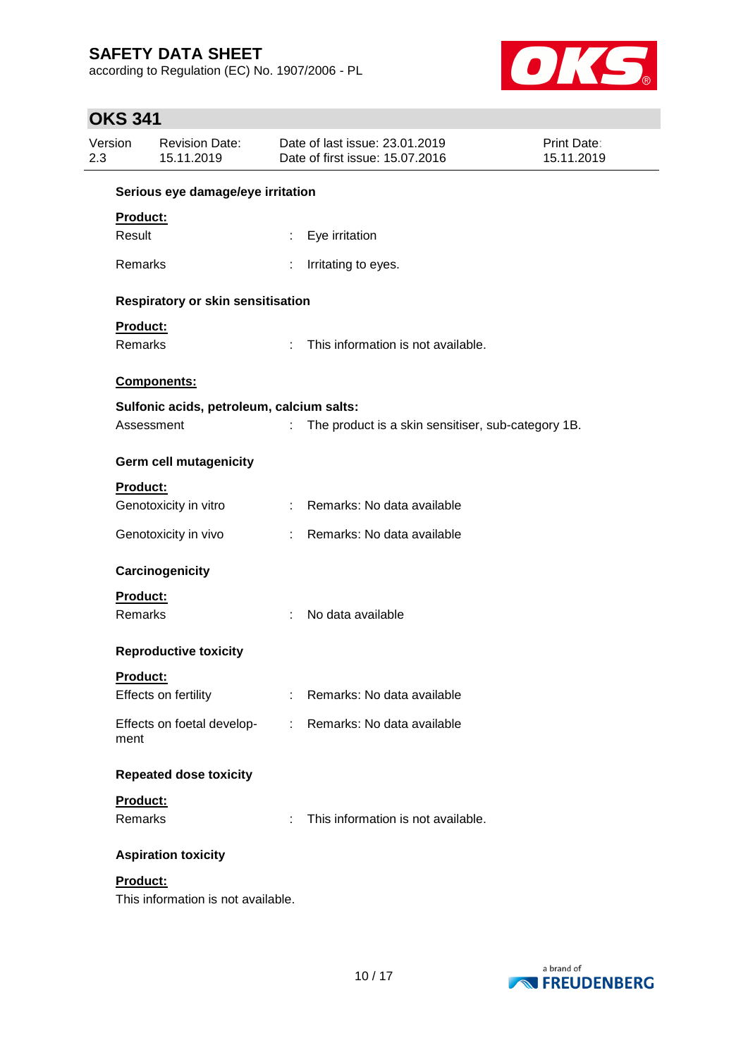according to Regulation (EC) No. 1907/2006 - PL



# **OKS 341**

| Version<br>2.3 | <b>Revision Date:</b><br>15.11.2019            |    | Date of last issue: 23.01.2019<br>Date of first issue: 15.07.2016 | <b>Print Date:</b><br>15.11.2019 |
|----------------|------------------------------------------------|----|-------------------------------------------------------------------|----------------------------------|
|                | Serious eye damage/eye irritation              |    |                                                                   |                                  |
|                | Product:                                       |    |                                                                   |                                  |
| Result         |                                                |    | Eye irritation                                                    |                                  |
|                | Remarks                                        |    | Irritating to eyes.                                               |                                  |
|                | Respiratory or skin sensitisation              |    |                                                                   |                                  |
|                | Product:                                       |    |                                                                   |                                  |
|                | Remarks                                        | ÷. | This information is not available.                                |                                  |
|                | <b>Components:</b>                             |    |                                                                   |                                  |
|                | Sulfonic acids, petroleum, calcium salts:      |    |                                                                   |                                  |
|                | Assessment                                     |    | The product is a skin sensitiser, sub-category 1B.                |                                  |
|                | Germ cell mutagenicity                         |    |                                                                   |                                  |
|                | <b>Product:</b>                                |    |                                                                   |                                  |
|                | Genotoxicity in vitro                          |    | : Remarks: No data available                                      |                                  |
|                | Genotoxicity in vivo                           |    | : Remarks: No data available                                      |                                  |
|                | Carcinogenicity                                |    |                                                                   |                                  |
|                | Product:                                       |    |                                                                   |                                  |
|                | Remarks                                        | ÷  | No data available                                                 |                                  |
|                | <b>Reproductive toxicity</b>                   |    |                                                                   |                                  |
|                | Product:                                       |    |                                                                   |                                  |
|                | Effects on fertility                           |    | Remarks: No data available                                        |                                  |
| ment           | Effects on foetal develop-                     | ÷. | Remarks: No data available                                        |                                  |
|                | <b>Repeated dose toxicity</b>                  |    |                                                                   |                                  |
|                | Product:                                       |    |                                                                   |                                  |
|                | Remarks                                        | ÷. | This information is not available.                                |                                  |
|                | <b>Aspiration toxicity</b>                     |    |                                                                   |                                  |
|                | Product:<br>This information is not available. |    |                                                                   |                                  |

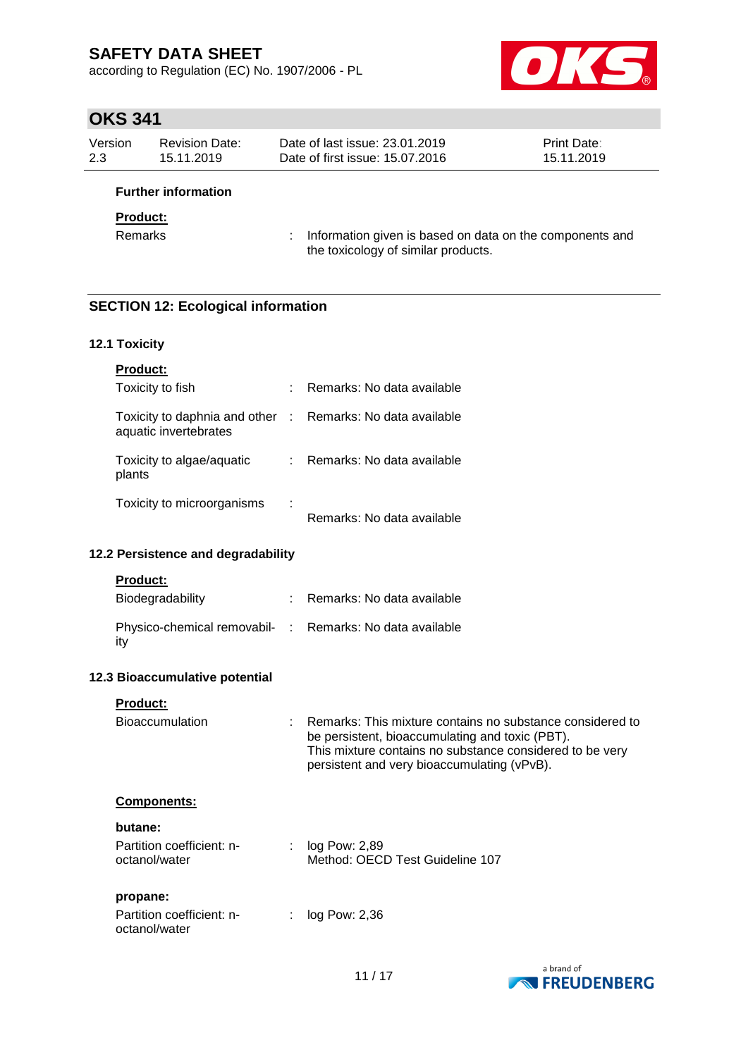according to Regulation (EC) No. 1907/2006 - PL



## **OKS 341**

| Version | <b>Revision Date:</b> | Date of last issue: 23.01.2019  | <b>Print Date:</b> |
|---------|-----------------------|---------------------------------|--------------------|
| 2.3     | 15.11.2019            | Date of first issue: 15.07.2016 | 15.11.2019         |
|         |                       |                                 |                    |

### **Further information**

### **Product:**

Remarks : Information given is based on data on the components and the toxicology of similar products.

### **SECTION 12: Ecological information**

#### **12.1 Toxicity**

| <b>Product:</b>                                        |    |                              |
|--------------------------------------------------------|----|------------------------------|
| Toxicity to fish                                       | ۰. | Remarks: No data available   |
| Toxicity to daphnia and other<br>aquatic invertebrates |    | : Remarks: No data available |
| Toxicity to algae/aquatic<br>plants                    |    | Remarks: No data available   |
| Toxicity to microorganisms                             | ÷  | Remarks: No data available   |

### **12.2 Persistence and degradability**

#### **Product:**

| Biodegradability                                                | Remarks: No data available |
|-----------------------------------------------------------------|----------------------------|
| Physico-chemical removabil- : Remarks: No data available<br>itv |                            |

#### **12.3 Bioaccumulative potential**

### **Product:**

| <b>Bioaccumulation</b>                     | Remarks: This mixture contains no substance considered to<br>be persistent, bioaccumulating and toxic (PBT).<br>This mixture contains no substance considered to be very<br>persistent and very bioaccumulating (vPvB). |
|--------------------------------------------|-------------------------------------------------------------------------------------------------------------------------------------------------------------------------------------------------------------------------|
| <b>Components:</b>                         |                                                                                                                                                                                                                         |
| butane:                                    |                                                                                                                                                                                                                         |
| Partition coefficient: n-<br>octanol/water | log Pow: 2.89<br>Method: OECD Test Guideline 107                                                                                                                                                                        |
| propane:                                   |                                                                                                                                                                                                                         |
| Partition coefficient: n-<br>octanol/water | log Pow: 2,36                                                                                                                                                                                                           |

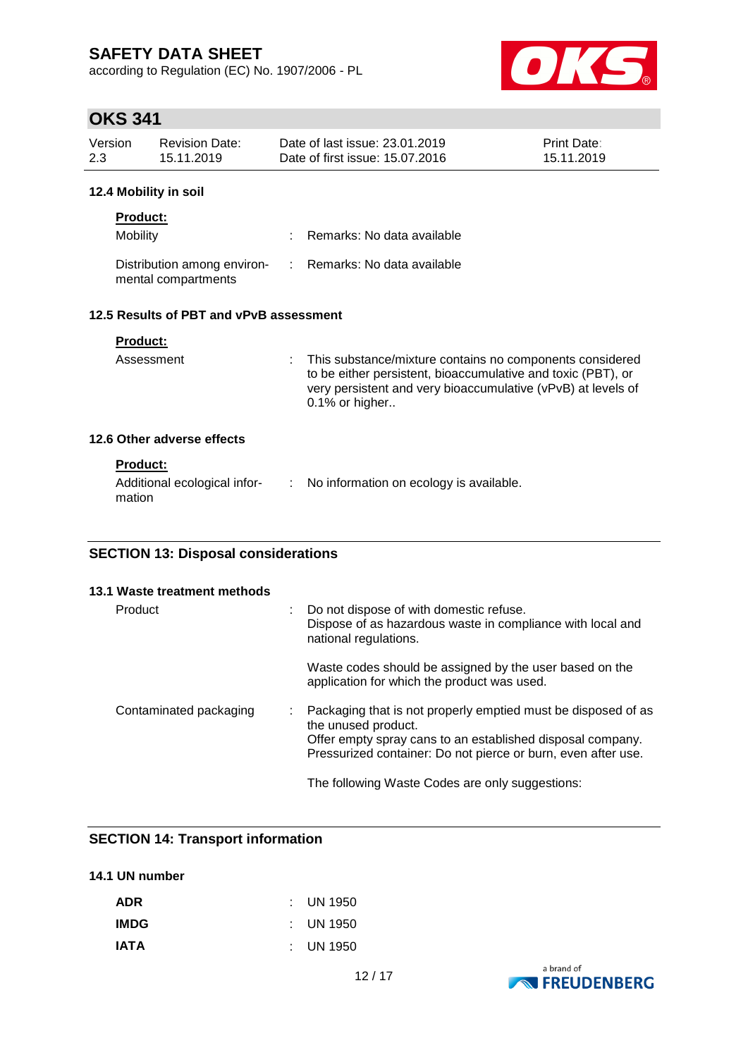according to Regulation (EC) No. 1907/2006 - PL



# **OKS 341**

| Version<br>Date of last issue: 23.01.2019<br>Revision Date:<br><b>Print Date:</b><br>2.3<br>Date of first issue: 15.07.2016<br>15.11.2019<br>15.11.2019 |  |
|---------------------------------------------------------------------------------------------------------------------------------------------------------|--|
|---------------------------------------------------------------------------------------------------------------------------------------------------------|--|

### **12.4 Mobility in soil**

| <b>Product:</b>                                    |                              |
|----------------------------------------------------|------------------------------|
| Mobility                                           | Remarks: No data available   |
| Distribution among environ-<br>mental compartments | : Remarks: No data available |

### **12.5 Results of PBT and vPvB assessment**

| Assessment                 | : This substance/mixture contains no components considered<br>to be either persistent, bioaccumulative and toxic (PBT), or<br>very persistent and very bioaccumulative (vPvB) at levels of<br>$0.1\%$ or higher |
|----------------------------|-----------------------------------------------------------------------------------------------------------------------------------------------------------------------------------------------------------------|
| 12.6 Other adverse effects |                                                                                                                                                                                                                 |

#### **Product:**

| mation | Additional ecological infor- |  | : No information on ecology is available. |
|--------|------------------------------|--|-------------------------------------------|
|--------|------------------------------|--|-------------------------------------------|

### **SECTION 13: Disposal considerations**

| 13.1 Waste treatment methods |   |                                                                                                                                                                                                                     |
|------------------------------|---|---------------------------------------------------------------------------------------------------------------------------------------------------------------------------------------------------------------------|
| Product                      | ÷ | Do not dispose of with domestic refuse.<br>Dispose of as hazardous waste in compliance with local and<br>national regulations.                                                                                      |
|                              |   | Waste codes should be assigned by the user based on the<br>application for which the product was used.                                                                                                              |
| Contaminated packaging       |   | Packaging that is not properly emptied must be disposed of as<br>the unused product.<br>Offer empty spray cans to an established disposal company.<br>Pressurized container: Do not pierce or burn, even after use. |
|                              |   | The following Waste Codes are only suggestions:                                                                                                                                                                     |

## **SECTION 14: Transport information**

### **14.1 UN number**

| ADR  | $\therefore$ UN 1950 |
|------|----------------------|
| IMDG | $\therefore$ UN 1950 |
| IATA | $\therefore$ UN 1950 |

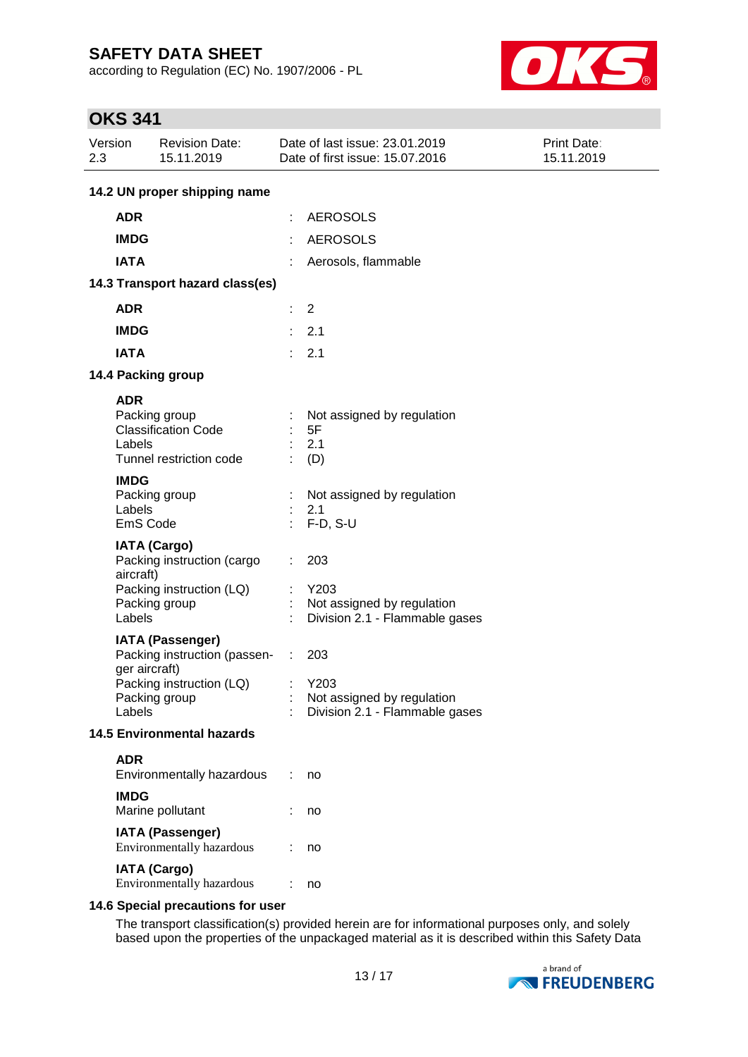according to Regulation (EC) No. 1907/2006 - PL



# **OKS 341**

| Version<br>2.3        | <b>Revision Date:</b><br>15.11.2019                                                                                   | Date of last issue: 23.01.2019<br>Date of first issue: 15.07.2016           | Print Date:<br>15.11.2019 |  |
|-----------------------|-----------------------------------------------------------------------------------------------------------------------|-----------------------------------------------------------------------------|---------------------------|--|
|                       | 14.2 UN proper shipping name                                                                                          |                                                                             |                           |  |
| <b>ADR</b>            |                                                                                                                       | <b>AEROSOLS</b>                                                             |                           |  |
| <b>IMDG</b>           |                                                                                                                       | <b>AEROSOLS</b>                                                             |                           |  |
| <b>IATA</b>           |                                                                                                                       | Aerosols, flammable                                                         |                           |  |
|                       | 14.3 Transport hazard class(es)                                                                                       |                                                                             |                           |  |
| <b>ADR</b>            |                                                                                                                       | $\overline{2}$                                                              |                           |  |
| <b>IMDG</b>           |                                                                                                                       | 2.1                                                                         |                           |  |
| <b>IATA</b>           |                                                                                                                       | 2.1<br>٠.                                                                   |                           |  |
|                       | 14.4 Packing group                                                                                                    |                                                                             |                           |  |
| <b>ADR</b><br>Labels  | Packing group<br><b>Classification Code</b><br>Tunnel restriction code                                                | Not assigned by regulation<br>5F<br>2.1<br>(D)                              |                           |  |
| <b>IMDG</b><br>Labels | Packing group<br>EmS Code                                                                                             | Not assigned by regulation<br>2.1<br>$F-D, S-U$                             |                           |  |
| aircraft)<br>Labels   | <b>IATA (Cargo)</b><br>Packing instruction (cargo<br>Packing instruction (LQ)<br>Packing group                        | 203<br>Y203<br>Not assigned by regulation<br>Division 2.1 - Flammable gases |                           |  |
| Labels                | <b>IATA (Passenger)</b><br>Packing instruction (passen-<br>ger aircraft)<br>Packing instruction (LQ)<br>Packing group | 203<br>Y203<br>Not assigned by regulation<br>Division 2.1 - Flammable gases |                           |  |
|                       | <b>14.5 Environmental hazards</b>                                                                                     |                                                                             |                           |  |
| <b>ADR</b>            | Environmentally hazardous                                                                                             | no                                                                          |                           |  |
| <b>IMDG</b>           | Marine pollutant                                                                                                      | no                                                                          |                           |  |
|                       | <b>IATA (Passenger)</b><br>Environmentally hazardous                                                                  | no                                                                          |                           |  |
|                       | <b>IATA (Cargo)</b><br>Environmentally hazardous                                                                      | no                                                                          |                           |  |
|                       | 14.6 Special precautions for user                                                                                     |                                                                             |                           |  |

The transport classification(s) provided herein are for informational purposes only, and solely based upon the properties of the unpackaged material as it is described within this Safety Data

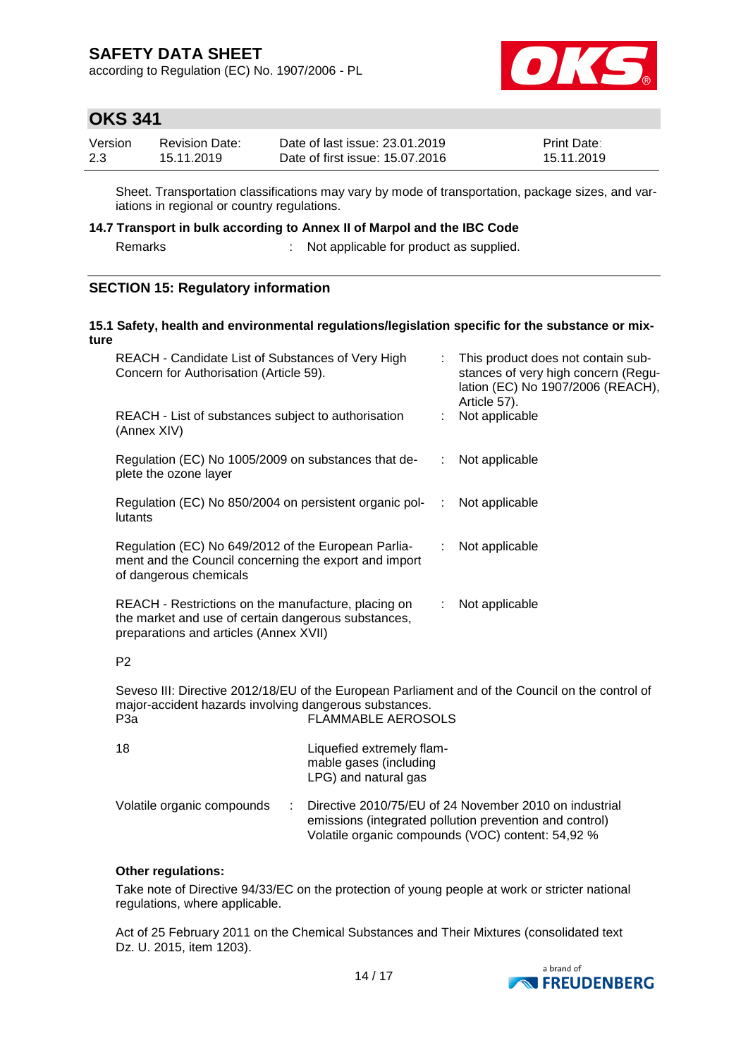according to Regulation (EC) No. 1907/2006 - PL



## **OKS 341**

| Version | Revision Date: | Date of last issue: 23.01.2019  | <b>Print Date:</b> |
|---------|----------------|---------------------------------|--------------------|
| 2.3     | 15.11.2019     | Date of first issue: 15.07.2016 | 15.11.2019         |

Sheet. Transportation classifications may vary by mode of transportation, package sizes, and variations in regional or country regulations.

### **14.7 Transport in bulk according to Annex II of Marpol and the IBC Code**

Remarks : Not applicable for product as supplied.

### **SECTION 15: Regulatory information**

#### **15.1 Safety, health and environmental regulations/legislation specific for the substance or mixture**

| REACH - Candidate List of Substances of Very High<br>Concern for Authorisation (Article 59).                                                         | ÷. | This product does not contain sub-<br>stances of very high concern (Regu-<br>lation (EC) No 1907/2006 (REACH),<br>Article 57). |
|------------------------------------------------------------------------------------------------------------------------------------------------------|----|--------------------------------------------------------------------------------------------------------------------------------|
| REACH - List of substances subject to authorisation<br>(Annex XIV)                                                                                   |    | Not applicable                                                                                                                 |
| Regulation (EC) No 1005/2009 on substances that de-<br>plete the ozone layer                                                                         | ÷. | Not applicable                                                                                                                 |
| Regulation (EC) No 850/2004 on persistent organic pol-<br>lutants                                                                                    | ÷. | Not applicable                                                                                                                 |
| Regulation (EC) No 649/2012 of the European Parlia-<br>ment and the Council concerning the export and import<br>of dangerous chemicals               | ÷. | Not applicable                                                                                                                 |
| REACH - Restrictions on the manufacture, placing on<br>the market and use of certain dangerous substances,<br>preparations and articles (Annex XVII) |    | Not applicable                                                                                                                 |
| P <sub>2</sub>                                                                                                                                       |    |                                                                                                                                |

Seveso III: Directive 2012/18/EU of the European Parliament and of the Council on the control of major-accident hazards involving dangerous substances. P3a **FLAMMABLE AEROSOLS** 

| 18                         | Liquefied extremely flam-<br>mable gases (including<br>LPG) and natural gas                                                                                            |
|----------------------------|------------------------------------------------------------------------------------------------------------------------------------------------------------------------|
| Volatile organic compounds | Directive 2010/75/EU of 24 November 2010 on industrial<br>emissions (integrated pollution prevention and control)<br>Volatile organic compounds (VOC) content: 54,92 % |

### **Other regulations:**

Take note of Directive 94/33/EC on the protection of young people at work or stricter national regulations, where applicable.

Act of 25 February 2011 on the Chemical Substances and Their Mixtures (consolidated text Dz. U. 2015, item 1203).

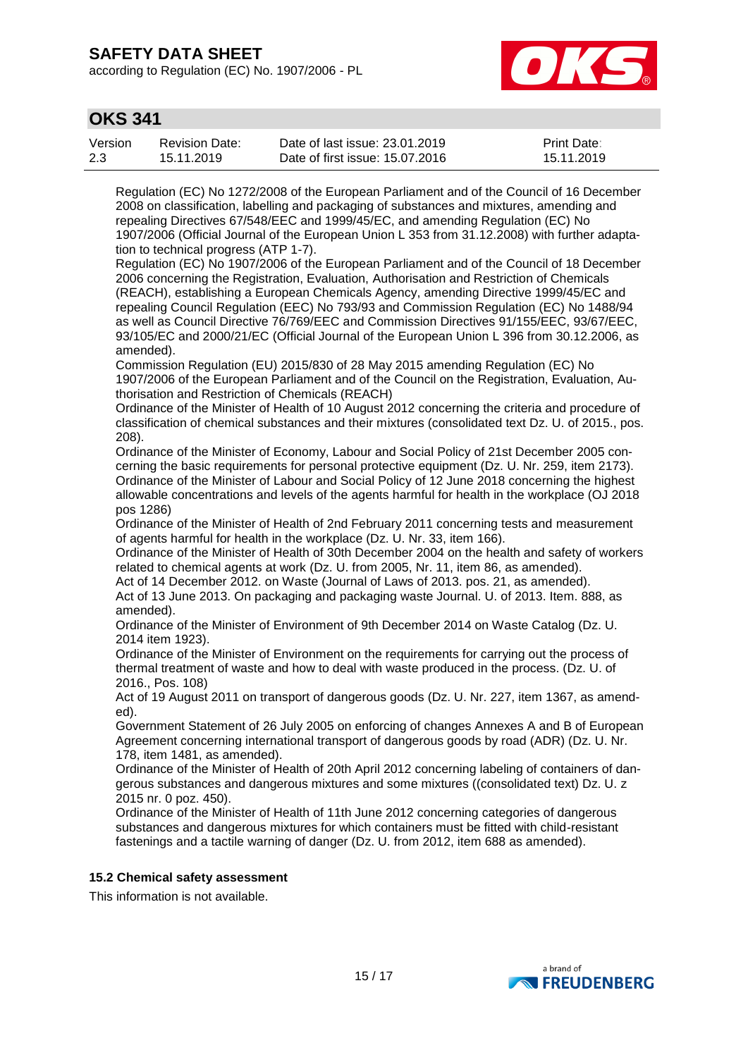according to Regulation (EC) No. 1907/2006 - PL



## **OKS 341**

| Version | Revision Date: | Date of last issue: 23.01.2019  | <b>Print Date:</b> |
|---------|----------------|---------------------------------|--------------------|
| 2.3     | 15.11.2019     | Date of first issue: 15.07.2016 | 15.11.2019         |

Regulation (EC) No 1272/2008 of the European Parliament and of the Council of 16 December 2008 on classification, labelling and packaging of substances and mixtures, amending and repealing Directives 67/548/EEC and 1999/45/EC, and amending Regulation (EC) No 1907/2006 (Official Journal of the European Union L 353 from 31.12.2008) with further adaptation to technical progress (ATP 1-7).

Regulation (EC) No 1907/2006 of the European Parliament and of the Council of 18 December 2006 concerning the Registration, Evaluation, Authorisation and Restriction of Chemicals (REACH), establishing a European Chemicals Agency, amending Directive 1999/45/EC and repealing Council Regulation (EEC) No 793/93 and Commission Regulation (EC) No 1488/94 as well as Council Directive 76/769/EEC and Commission Directives 91/155/EEC, 93/67/EEC, 93/105/EC and 2000/21/EC (Official Journal of the European Union L 396 from 30.12.2006, as amended).

Commission Regulation (EU) 2015/830 of 28 May 2015 amending Regulation (EC) No 1907/2006 of the European Parliament and of the Council on the Registration, Evaluation, Authorisation and Restriction of Chemicals (REACH)

Ordinance of the Minister of Health of 10 August 2012 concerning the criteria and procedure of classification of chemical substances and their mixtures (consolidated text Dz. U. of 2015., pos. 208).

Ordinance of the Minister of Economy, Labour and Social Policy of 21st December 2005 concerning the basic requirements for personal protective equipment (Dz. U. Nr. 259, item 2173). Ordinance of the Minister of Labour and Social Policy of 12 June 2018 concerning the highest allowable concentrations and levels of the agents harmful for health in the workplace (OJ 2018 pos 1286)

Ordinance of the Minister of Health of 2nd February 2011 concerning tests and measurement of agents harmful for health in the workplace (Dz. U. Nr. 33, item 166).

Ordinance of the Minister of Health of 30th December 2004 on the health and safety of workers related to chemical agents at work (Dz. U. from 2005, Nr. 11, item 86, as amended).

Act of 14 December 2012. on Waste (Journal of Laws of 2013. pos. 21, as amended). Act of 13 June 2013. On packaging and packaging waste Journal. U. of 2013. Item. 888, as amended).

Ordinance of the Minister of Environment of 9th December 2014 on Waste Catalog (Dz. U. 2014 item 1923).

Ordinance of the Minister of Environment on the requirements for carrying out the process of thermal treatment of waste and how to deal with waste produced in the process. (Dz. U. of 2016., Pos. 108)

Act of 19 August 2011 on transport of dangerous goods (Dz. U. Nr. 227, item 1367, as amended).

Government Statement of 26 July 2005 on enforcing of changes Annexes A and B of European Agreement concerning international transport of dangerous goods by road (ADR) (Dz. U. Nr. 178, item 1481, as amended).

Ordinance of the Minister of Health of 20th April 2012 concerning labeling of containers of dangerous substances and dangerous mixtures and some mixtures ((consolidated text) Dz. U. z 2015 nr. 0 poz. 450).

Ordinance of the Minister of Health of 11th June 2012 concerning categories of dangerous substances and dangerous mixtures for which containers must be fitted with child-resistant fastenings and a tactile warning of danger (Dz. U. from 2012, item 688 as amended).

#### **15.2 Chemical safety assessment**

This information is not available.

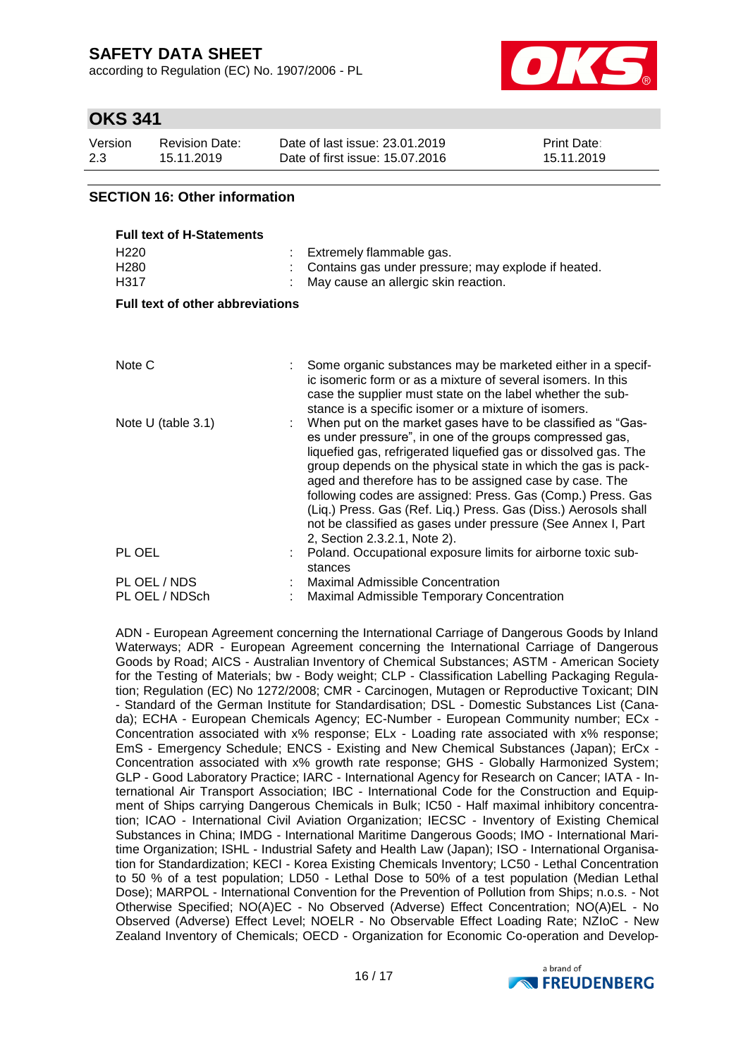according to Regulation (EC) No. 1907/2006 - PL



## **OKS 341**

| Version | <b>Revision Date:</b> | Date of last issue: 23.01.2019  | <b>Print Date:</b> |
|---------|-----------------------|---------------------------------|--------------------|
| 2.3     | 15.11.2019            | Date of first issue: 15.07.2016 | 15.11.2019         |

### **SECTION 16: Other information**

| <b>Full text of H-Statements</b>             |  |                                                                                                                                                                                                                                                                                                                                                                                                                                                                                                                                                          |  |  |
|----------------------------------------------|--|----------------------------------------------------------------------------------------------------------------------------------------------------------------------------------------------------------------------------------------------------------------------------------------------------------------------------------------------------------------------------------------------------------------------------------------------------------------------------------------------------------------------------------------------------------|--|--|
| H <sub>220</sub><br>H <sub>280</sub><br>H317 |  | Extremely flammable gas.<br>Contains gas under pressure; may explode if heated.<br>May cause an allergic skin reaction.                                                                                                                                                                                                                                                                                                                                                                                                                                  |  |  |
| <b>Full text of other abbreviations</b>      |  |                                                                                                                                                                                                                                                                                                                                                                                                                                                                                                                                                          |  |  |
|                                              |  |                                                                                                                                                                                                                                                                                                                                                                                                                                                                                                                                                          |  |  |
| Note C                                       |  | Some organic substances may be marketed either in a specif-<br>ic isomeric form or as a mixture of several isomers. In this<br>case the supplier must state on the label whether the sub-<br>stance is a specific isomer or a mixture of isomers.                                                                                                                                                                                                                                                                                                        |  |  |
| Note U (table 3.1)                           |  | When put on the market gases have to be classified as "Gas-<br>es under pressure", in one of the groups compressed gas,<br>liquefied gas, refrigerated liquefied gas or dissolved gas. The<br>group depends on the physical state in which the gas is pack-<br>aged and therefore has to be assigned case by case. The<br>following codes are assigned: Press. Gas (Comp.) Press. Gas<br>(Liq.) Press. Gas (Ref. Liq.) Press. Gas (Diss.) Aerosols shall<br>not be classified as gases under pressure (See Annex I, Part<br>2, Section 2.3.2.1, Note 2). |  |  |
| PL OEL                                       |  | Poland. Occupational exposure limits for airborne toxic sub-<br>stances                                                                                                                                                                                                                                                                                                                                                                                                                                                                                  |  |  |
| PL OEL / NDS                                 |  | <b>Maximal Admissible Concentration</b>                                                                                                                                                                                                                                                                                                                                                                                                                                                                                                                  |  |  |
| PL OEL / NDSch                               |  | <b>Maximal Admissible Temporary Concentration</b>                                                                                                                                                                                                                                                                                                                                                                                                                                                                                                        |  |  |

ADN - European Agreement concerning the International Carriage of Dangerous Goods by Inland Waterways; ADR - European Agreement concerning the International Carriage of Dangerous Goods by Road; AICS - Australian Inventory of Chemical Substances; ASTM - American Society for the Testing of Materials; bw - Body weight; CLP - Classification Labelling Packaging Regulation; Regulation (EC) No 1272/2008; CMR - Carcinogen, Mutagen or Reproductive Toxicant; DIN - Standard of the German Institute for Standardisation; DSL - Domestic Substances List (Canada); ECHA - European Chemicals Agency; EC-Number - European Community number; ECx - Concentration associated with x% response; ELx - Loading rate associated with x% response; EmS - Emergency Schedule; ENCS - Existing and New Chemical Substances (Japan); ErCx - Concentration associated with x% growth rate response; GHS - Globally Harmonized System; GLP - Good Laboratory Practice; IARC - International Agency for Research on Cancer; IATA - International Air Transport Association; IBC - International Code for the Construction and Equipment of Ships carrying Dangerous Chemicals in Bulk; IC50 - Half maximal inhibitory concentration; ICAO - International Civil Aviation Organization; IECSC - Inventory of Existing Chemical Substances in China; IMDG - International Maritime Dangerous Goods; IMO - International Maritime Organization; ISHL - Industrial Safety and Health Law (Japan); ISO - International Organisation for Standardization; KECI - Korea Existing Chemicals Inventory; LC50 - Lethal Concentration to 50 % of a test population; LD50 - Lethal Dose to 50% of a test population (Median Lethal Dose); MARPOL - International Convention for the Prevention of Pollution from Ships; n.o.s. - Not Otherwise Specified; NO(A)EC - No Observed (Adverse) Effect Concentration; NO(A)EL - No Observed (Adverse) Effect Level; NOELR - No Observable Effect Loading Rate; NZIoC - New Zealand Inventory of Chemicals; OECD - Organization for Economic Co-operation and Develop-